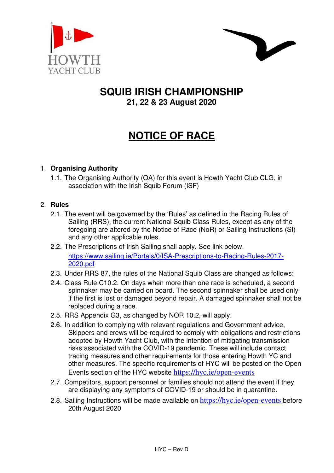



# **SQUIB IRISH CHAMPIONSHIP 21, 22 & 23 August 2020**

# **NOTICE OF RACE**

# 1. **Organising Authority**

1.1. The Organising Authority (OA) for this event is Howth Yacht Club CLG, in association with the Irish Squib Forum (ISF)

# 2. **Rules**

- 2.1. The event will be governed by the 'Rules' as defined in the Racing Rules of Sailing (RRS), the current National Squib Class Rules, except as any of the foregoing are altered by the Notice of Race (NoR) or Sailing Instructions (SI) and any other applicable rules.
- 2.2. The Prescriptions of Irish Sailing shall apply. See link below. https://www.sailing.ie/Portals/0/ISA-Prescriptions-to-Racing-Rules-2017- 2020.pdf
- 2.3. Under RRS 87, the rules of the National Squib Class are changed as follows:
- 2.4. Class Rule C10.2. On days when more than one race is scheduled, a second spinnaker may be carried on board. The second spinnaker shall be used only if the first is lost or damaged beyond repair. A damaged spinnaker shall not be replaced during a race.
- 2.5. RRS Appendix G3, as changed by NOR 10.2, will apply.
- 2.6. In addition to complying with relevant regulations and Government advice, Skippers and crews will be required to comply with obligations and restrictions adopted by Howth Yacht Club, with the intention of mitigating transmission risks associated with the COVID-19 pandemic. These will include contact tracing measures and other requirements for those entering Howth YC and other measures. The specific requirements of HYC will be posted on the Open Events section of the HYC website https://hyc.ie/open-events
- 2.7. Competitors, support personnel or families should not attend the event if they are displaying any symptoms of COVID-19 or should be in quarantine.
- 2.8. Sailing Instructions will be made available on https://hyc.ie/open-events before 20th August 2020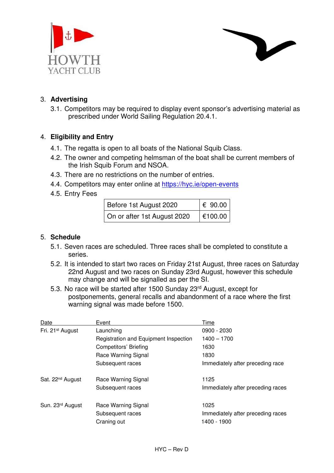



# 3. **Advertising**

3.1. Competitors may be required to display event sponsor's advertising material as prescribed under World Sailing Regulation 20.4.1.

#### 4. **Eligibility and Entry**

- 4.1. The regatta is open to all boats of the National Squib Class.
- 4.2. The owner and competing helmsman of the boat shall be current members of the Irish Squib Forum and NSOA.
- 4.3. There are no restrictions on the number of entries.
- 4.4. Competitors may enter online at https://hyc.ie/open-events
- 4.5. Entry Fees

| Before 1st August 2020      | $\epsilon$ 90.00 |
|-----------------------------|------------------|
| On or after 1st August 2020 | €100.00          |

#### 5. **Schedule**

- 5.1. Seven races are scheduled. Three races shall be completed to constitute a series.
- 5.2. It is intended to start two races on Friday 21st August, three races on Saturday 22nd August and two races on Sunday 23rd August, however this schedule may change and will be signalled as per the SI.
- 5.3. No race will be started after 1500 Sunday 23rd August, except for postponements, general recalls and abandonment of a race where the first warning signal was made before 1500.

| Date                         | Event                                 | Time                                             |
|------------------------------|---------------------------------------|--------------------------------------------------|
| Fri. 21 <sup>st</sup> August | Launching                             | 0900 - 2030                                      |
|                              | Registration and Equipment Inspection | $1400 - 1700$                                    |
|                              | Competitors' Briefing                 | 1630                                             |
|                              | Race Warning Signal                   | 1830                                             |
|                              | Subsequent races                      | Immediately after preceding race                 |
| Sat. 22 <sup>nd</sup> August | Race Warning Signal                   | 1125                                             |
|                              | Subsequent races                      | Immediately after preceding races                |
| Sun. 23rd August             | Race Warning Signal                   | 1025                                             |
|                              | Subsequent races<br>Craning out       | Immediately after preceding races<br>1400 - 1900 |
|                              |                                       |                                                  |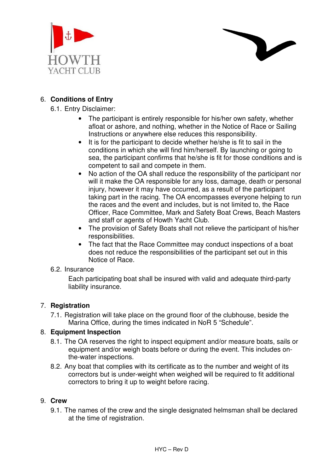



6.1. Entry Disclaimer:

- The participant is entirely responsible for his/her own safety, whether afloat or ashore, and nothing, whether in the Notice of Race or Sailing Instructions or anywhere else reduces this responsibility.
- It is for the participant to decide whether he/she is fit to sail in the conditions in which she will find him/herself. By launching or going to sea, the participant confirms that he/she is fit for those conditions and is competent to sail and compete in them.
- No action of the OA shall reduce the responsibility of the participant nor will it make the OA responsible for any loss, damage, death or personal injury, however it may have occurred, as a result of the participant taking part in the racing. The OA encompasses everyone helping to run the races and the event and includes, but is not limited to, the Race Officer, Race Committee, Mark and Safety Boat Crews, Beach Masters and staff or agents of Howth Yacht Club.
- The provision of Safety Boats shall not relieve the participant of his/her responsibilities.
- The fact that the Race Committee may conduct inspections of a boat does not reduce the responsibilities of the participant set out in this Notice of Race.

#### 6.2. Insurance

Each participating boat shall be insured with valid and adequate third-party liability insurance.

## 7. **Registration**

7.1. Registration will take place on the ground floor of the clubhouse, beside the Marina Office, during the times indicated in NoR 5 "Schedule".

## 8. **Equipment Inspection**

- 8.1. The OA reserves the right to inspect equipment and/or measure boats, sails or equipment and/or weigh boats before or during the event. This includes onthe-water inspections.
- 8.2. Any boat that complies with its certificate as to the number and weight of its correctors but is under-weight when weighed will be required to fit additional correctors to bring it up to weight before racing.

#### 9. **Crew**

9.1. The names of the crew and the single designated helmsman shall be declared at the time of registration.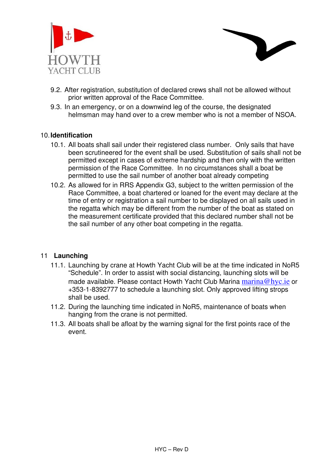



- 9.2. After registration, substitution of declared crews shall not be allowed without prior written approval of the Race Committee.
- 9.3. In an emergency, or on a downwind leg of the course, the designated helmsman may hand over to a crew member who is not a member of NSOA.

#### 10. **Identification**

- 10.1. All boats shall sail under their registered class number. Only sails that have been scrutineered for the event shall be used. Substitution of sails shall not be permitted except in cases of extreme hardship and then only with the written permission of the Race Committee. In no circumstances shall a boat be permitted to use the sail number of another boat already competing
- 10.2. As allowed for in RRS Appendix G3, subject to the written permission of the Race Committee, a boat chartered or loaned for the event may declare at the time of entry or registration a sail number to be displayed on all sails used in the regatta which may be different from the number of the boat as stated on the measurement certificate provided that this declared number shall not be the sail number of any other boat competing in the regatta.

## 11 **Launching**

- 11.1. Launching by crane at Howth Yacht Club will be at the time indicated in NoR5 "Schedule". In order to assist with social distancing, launching slots will be made available. Please contact Howth Yacht Club Marina marina@hyc.ie or +353-1-8392777 to schedule a launching slot. Only approved lifting strops shall be used.
- 11.2. During the launching time indicated in NoR5, maintenance of boats when hanging from the crane is not permitted.
- 11.3. All boats shall be afloat by the warning signal for the first points race of the event.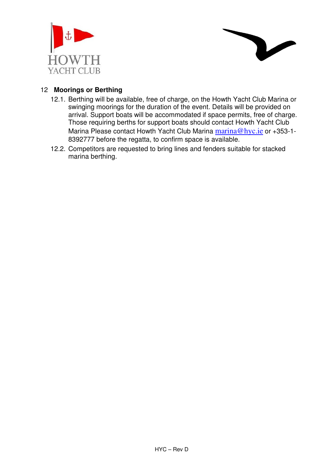



## 12 **Moorings or Berthing**

- 12.1. Berthing will be available, free of charge, on the Howth Yacht Club Marina or swinging moorings for the duration of the event. Details will be provided on arrival. Support boats will be accommodated if space permits, free of charge. Those requiring berths for support boats should contact Howth Yacht Club Marina Please contact Howth Yacht Club Marina marina@hyc.ie or +353-1-8392777 before the regatta, to confirm space is available.
- 12.2. Competitors are requested to bring lines and fenders suitable for stacked marina berthing.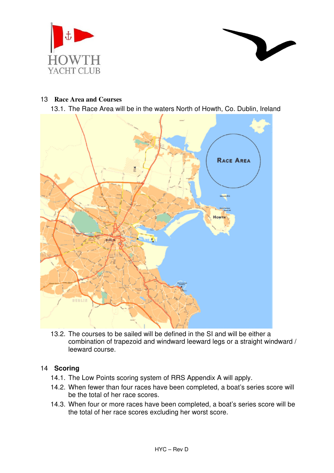



#### 13 **Race Area and Courses**

13.1. The Race Area will be in the waters North of Howth, Co. Dublin, Ireland



13.2. The courses to be sailed will be defined in the SI and will be either a combination of trapezoid and windward leeward legs or a straight windward / leeward course.

## 14 **Scoring**

- 14.1. The Low Points scoring system of RRS Appendix A will apply.
- 14.2. When fewer than four races have been completed, a boat's series score will be the total of her race scores.
- 14.3. When four or more races have been completed, a boat's series score will be the total of her race scores excluding her worst score.